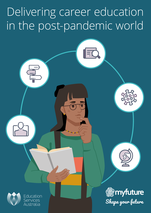# Delivering career education in the post-pandemic world



Education Australia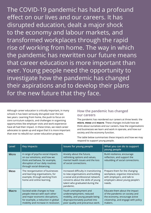The COVID-19 pandemic has had a profound effect on our lives and our careers. It has disrupted education, dealt a major shock to the economy and labour markets, and transformed workplaces through the rapid rise of working from home. The way in which the pandemic has rewritten our future means that career education is more important than ever. Young people need the opportunity to investigate how the pandemic has changed their aspirations and to develop their plans for the new future that they face.

Although career education is critically important, in many schools it has been seriously disrupted over the last two years. Learning from home, the push to focus on core curriculum subjects, and challenges in organising opportunities like employer visits and work experience have all had their impact. In these times, we need career advocates to speak up and argue that it is more important than ever to rebuild our career education programs.

## **How the pandemic has changed our careers**

The pandemic has reordered our careers at three levels: the **micro**, **meso** and **macro**. These changes include how we think about ourselves and our careers, how the organisations and businesses we learn and work in operate, and how our society and the economy function.

The table below summarises these impacts and how we may respond to support young people.

| Level        | <b>Key impacts</b>                                                                                                                                                              | <b>Issues for young people</b>                                                                                                                                                                         | What you can do to support<br>young people                                                                                                         |
|--------------|---------------------------------------------------------------------------------------------------------------------------------------------------------------------------------|--------------------------------------------------------------------------------------------------------------------------------------------------------------------------------------------------------|----------------------------------------------------------------------------------------------------------------------------------------------------|
| <b>Micro</b> | A range of psycho-social impacts<br>on our emotions, and how we<br>think and behave, for example,<br>disruption of our daily routines<br>through social distancing.             | Anxiety about the future,<br>rethinking options and values,<br>mental health issues and the loss<br>of social connections.                                                                             | Build resilience, encourage<br>reflection, and support the<br>rebuilding of social connections.                                                    |
| <b>Meso</b>  | The reorganisation of businesses<br>and learning organisations, for<br>example, through working from<br>home and online learning.                                               | Increased difficulty in transitioning<br>to new organisations and building<br>a social and professional network;<br>concerns about the skills of young<br>talent who graduated during the<br>pandemic. | Prepare them for the changing<br>workplace, organise interactions<br>with employers, and talk to<br>employers about young people's<br>needs.       |
| <b>Macro</b> | Societal-wide changes to how<br>people interact with each other<br>and major economic disruptions,<br>for example, a reduction in global<br>mobility and increase in recession. | Youth unemployment and<br>underemployment, reduced<br>mobility, and young people being<br>disproportionately pushed into<br>poor quality and precarious work.                                          | Educate them about the impact<br>of the pandemic on society and<br>the economy, encourage active<br>citizenship, and engage with policy<br>makers. |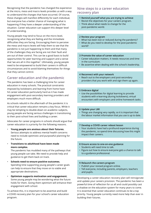Recognising that the pandemic has changed the experience at the micro, meso and macro levels provides us with a way to understand the changes that have occurred. Of course, these changes will manifest differently for each individual, but everyone has a better chance of managing what is happening if they have a deeper understanding of the situation. Career education can support this deeper level of understanding.

Young people may tend to focus on the micro level, recognising what they are feeling and the immediate difficulties they are facing. Encouraging them to perceive the meso and macro levels will help them to see that the pandemic is not just happening to them and that many of the challenges they are facing are not their fault and are out of their control. This can be a good basis to build opportunities for peer learning and support and a sense that 'we are all in this together'. Ultimately, young people need to be empowered to build their careers in difficult circumstances and to avoid blaming themselves for things that they cannot control.

# **Career education and the pandemic**

The pandemic has been a challenging time for career education in many schools. The practical constraints imposed by lockdowns and learning from home have hit career education particularly hard as it has made engagement with post-secondary learning providers and employers much more difficult.

As schools rebuild in the aftermath of the pandemic it is critical that career education remains a key focus. While it may be tempting to double-down on academic subjects, young people are facing serious challenges in transitioning to their post-school lives and building a career.

Advocates for career programs in schools should argue that career education is a priority for the following reasons.

- **Young people are anxious about their futures.** Serious attempts to address mental health concerns need to include optimistic and purposeful planning for the future.
- **Transitions to adulthood have been made more complex.**

The pandemic has muddied many of the pathways that young people can take. We need to provide help and guidance to get them back on track.

- **Schools need to ensure positive outcomes.** Spending time supporting young people's career goals can help to ensure that they move on to viable and appropriate destinations.
- **Optimism supports motivation and engagement.** Some young people may be wondering what the future holds for them. Giving them optimism will enhance their engagement with school.

To achieve this, it is important to be assertive and build a COVID recovery plan for your school's career education program.

# **Nine steps to a career education recovery plan**

- **1 Remind yourself what you are trying to achieve**
- Revisit the objectives for your careers program.
- Think about what needs to change for the post-pandemic world.

#### **2 Review your program**

- What has been lost or reduced during the pandemic?
- What do you need to develop for the post-pandemic world?

#### **3 Promote the value of career education**

- Career education matters. It needs resources and time in the curriculum.
- Be assertive when dealing with the school's leadership.

#### **4 Reconnect with your network**

• Reach out to the employers and post-secondary providers that you work with and sign them up again.

#### **5 Embrace digital**

• Use the possibilities for digital learning to provide students with e-learning (during lockdowns), virtual encounters with employers and online homework tasks.

#### **6 Update your LMI**

• Things are changing very rapidly, so it is important that the labour market information that you use is up to date.

#### **7 Develop a COVID career reboot lesson**

• Your students have had a profound experience during the pandemic, so spend time discussing how this might impact their careers.

#### **8 Ensure access to one-on-one guidance**

- Students will need time to talk.
- Figure out how to ensure everyone gets a chance to talk to a guidance professional.

#### **9 Relaunch the careers program**

- Publish your revised program online.
- Tell everyone, including parents, employers, teachers and pupils.

Developing a career education recovery plan will reinvigorate and update your careers provision. The pandemic has been a powerful time of reflection for us all and could possibly cast a shadow on the education system for many years to come. It is essential that career education continues to be a top priority. Young people currently need more help than ever in building their futures.